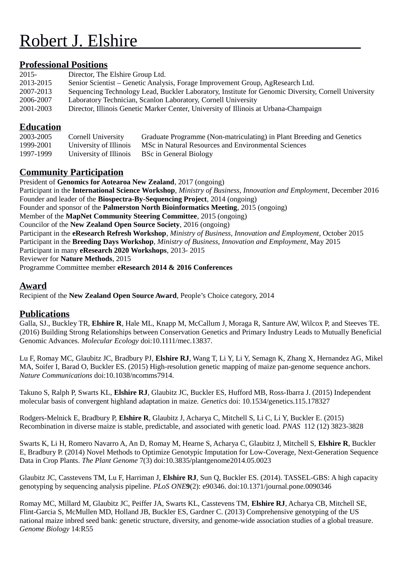# Robert J. Elshire

## **Professional Positions**

| 2015-     | Director, The Elshire Group Ltd.                                                                    |
|-----------|-----------------------------------------------------------------------------------------------------|
| 2013-2015 | Senior Scientist – Genetic Analysis, Forage Improvement Group, AgResearch Ltd.                      |
| 2007-2013 | Sequencing Technology Lead, Buckler Laboratory, Institute for Genomic Diversity, Cornell University |
| 2006-2007 | Laboratory Technician, Scanlon Laboratory, Cornell University                                       |
| 2001-2003 | Director, Illinois Genetic Marker Center, University of Illinois at Urbana-Champaign                |
|           |                                                                                                     |

### **Education**

| 2003-2005 | Cornell University     | Graduate Programme (Non-matriculating) in Plant Breeding and Genetics |
|-----------|------------------------|-----------------------------------------------------------------------|
| 1999-2001 | University of Illinois | MSc in Natural Resources and Environmental Sciences                   |
| 1997-1999 | University of Illinois | BSc in General Biology                                                |

## **Community Participation**

President of **Genomics for Aotearoa New Zealand**, 2017 (ongoing) Participant in the **International Science Workshop**, *Ministry of Business, Innovation and Employment*, December 2016 Founder and leader of the **Biospectra-By-Sequencing Project**, 2014 (ongoing) Founder and sponsor of the **Palmerston North Bioinformatics Meeting**, 2015 (ongoing) Member of the **MapNet Community Steering Committee**, 2015 (ongoing) Councilor of the **New Zealand Open Source Society**, 2016 (ongoing) Participant in the **eResearch Refresh Workshop**, *Ministry of Business, Innovation and Employment*, October 2015 Participant in the **Breeding Days Workshop**, *Ministry of Business, Innovation and Employment*, May 2015 Participant in many **eResearch 2020 Workshops**, 2013- 2015 Reviewer for **Nature Methods**, 2015 Programme Committee member **eResearch 2014 & 2016 Conferences**

#### **Award**

Recipient of the **New Zealand Open Source Award**, People's Choice category, 2014

## **Publications**

Galla, SJ., Buckley TR, **Elshire R**, Hale ML, Knapp M, McCallum J, Moraga R, Santure AW, Wilcox P, and Steeves TE. (2016) Building Strong Relationships between Conservation Genetics and Primary Industry Leads to Mutually Beneficial Genomic Advances. *Molecular Ecology* doi:10.1111/mec.13837.

Lu F, Romay MC, Glaubitz JC, Bradbury PJ, **Elshire RJ**, Wang T, Li Y, Li Y, Semagn K, Zhang X, Hernandez AG, Mikel MA, Soifer I, Barad O, Buckler ES. (2015) High-resolution genetic mapping of maize pan-genome sequence anchors. *Nature Communications* doi:10.1038/ncomms7914.

Takuno S, Ralph P, Swarts KL, **Elshire RJ**, Glaubitz JC, Buckler ES, Hufford MB, Ross-Ibarra J. (2015) Independent molecular basis of convergent highland adaptation in maize. *Genetics* doi: 10.1534/genetics.115.178327

Rodgers-Melnick E, Bradbury P, **Elshire R**, Glaubitz J, Acharya C, Mitchell S, Li C, Li Y, Buckler E. (2015) Recombination in diverse maize is stable, predictable, and associated with genetic load. *PNAS* 112 (12) 3823-3828

Swarts K, Li H, Romero Navarro A, An D, Romay M, Hearne S, Acharya C, Glaubitz J, Mitchell S, **Elshire R**, Buckler E, Bradbury P. (2014) Novel Methods to Optimize Genotypic Imputation for Low-Coverage, Next-Generation Sequence Data in Crop Plants. *The Plant Genome* 7(3) doi:10.3835/plantgenome2014.05.0023

Glaubitz JC, Casstevens TM, Lu F, Harriman J, **Elshire RJ**, Sun Q, Buckler ES. (2014). TASSEL-GBS: A high capacity genotyping by sequencing analysis pipeline. *PLoS ONE***9**(2): e90346. doi:10.1371/journal.pone.0090346

Romay MC, Millard M, Glaubitz JC, Peiffer JA, Swarts KL, Casstevens TM, **Elshire RJ**, Acharya CB, Mitchell SE, Flint-Garcia S, McMullen MD, Holland JB, Buckler ES, Gardner C. (2013) Comprehensive genotyping of the US national maize inbred seed bank: genetic structure, diversity, and genome-wide association studies of a global treasure. *Genome Biology* 14:R55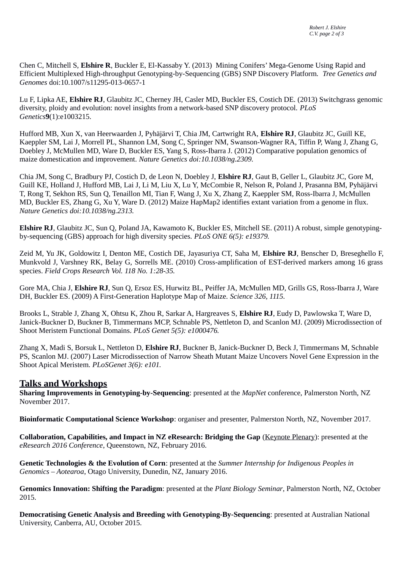Chen C, Mitchell S, **Elshire R**, Buckler E, El-Kassaby Y. (2013) Mining Conifers' Mega-Genome Using Rapid and Efficient Multiplexed High-throughput Genotyping-by-Sequencing (GBS) SNP Discovery Platform. *Tree Genetics and Genomes* doi:10.1007/s11295-013-0657-1

Lu F, Lipka AE, **Elshire RJ**, Glaubitz JC, Cherney JH, Casler MD, Buckler ES, Costich DE. (2013) Switchgrass genomic diversity, ploidy and evolution: novel insights from a network-based SNP discovery protocol. *PLoS Genetics***9**(1):e1003215.

Hufford MB, Xun X, van Heerwaarden J, Pyhäjärvi T, Chia JM, Cartwright RA, **Elshire RJ**, Glaubitz JC, Guill KE, Kaeppler SM, Lai J, Morrell PL, Shannon LM, Song C, Springer NM, Swanson-Wagner RA, Tiffin P, Wang J, Zhang G, Doebley J, McMullen MD, Ware D, Buckler ES, Yang S, Ross-Ibarra J. (2012) Comparative population genomics of maize domestication and improvement. *Nature Genetics doi:10.1038/ng.2309.*

Chia JM, Song C, Bradbury PJ, Costich D, de Leon N, Doebley J, **Elshire RJ**, Gaut B, Geller L, Glaubitz JC, Gore M, Guill KE, Holland J, Hufford MB, Lai J, Li M, Liu X, Lu Y, McCombie R, Nelson R, Poland J, Prasanna BM, Pyhäjärvi T, Rong T, Sekhon RS, Sun Q, Tenaillon MI, Tian F, Wang J, Xu X, Zhang Z, Kaeppler SM, Ross-Ibarra J, McMullen MD, Buckler ES, Zhang G, Xu Y, Ware D. (2012) Maize HapMap2 identifies extant variation from a genome in flux. *Nature Genetics doi:10.1038/ng.2313.*

**Elshire RJ**, Glaubitz JC, Sun Q, Poland JA, Kawamoto K, Buckler ES, Mitchell SE. (2011) A robust, simple genotypingby-sequencing (GBS) approach for high diversity species. *PLoS ONE 6(5): e19379.* 

Zeid M, Yu JK, Goldowitz I, Denton ME, Costich DE, Jayasuriya CT, Saha M, **Elshire RJ**, Benscher D, Breseghello F, Munkvold J, Varshney RK, Belay G, Sorrells ME. (2010) Cross-amplification of EST-derived markers among 16 grass species. *Field Crops Research Vol. 118 No. 1:28-35.*

Gore MA, Chia J, **Elshire RJ**, Sun Q, Ersoz ES, Hurwitz BL, Peiffer JA, McMullen MD, Grills GS, Ross-Ibarra J, Ware DH, Buckler ES. (2009) A First-Generation Haplotype Map of Maize. *Science 326, 1115.*

Brooks L, Strable J, Zhang X, Ohtsu K, Zhou R, Sarkar A, Hargreaves S, **Elshire RJ**, Eudy D, Pawlowska T, Ware D, Janick-Buckner D, Buckner B, Timmermans MCP, Schnable PS, Nettleton D, and Scanlon MJ. (2009) Microdissection of Shoot Meristem Functional Domains. *PLoS Genet 5(5): e1000476.*

Zhang X, Madi S, Borsuk L, Nettleton D, **Elshire RJ**, Buckner B, Janick-Buckner D, Beck J, Timmermans M, Schnable PS, Scanlon MJ. (2007) Laser Microdissection of Narrow Sheath Mutant Maize Uncovers Novel Gene Expression in the Shoot Apical Meristem*. PLoSGenet 3(6): e101.*

#### **Talks and Workshops**

**Sharing Improvements in Genotyping-by-Sequencing**: presented at the *MapNet* conference, Palmerston North, NZ November 2017.

**Bioinformatic Computational Science Workshop**: organiser and presenter, Palmerston North, NZ, November 2017.

**Collaboration, Capabilities, and Impact in NZ eResearch: Bridging the Gap** (Keynote Plenary): presented at the *eResearch 2016 Conference*, Queenstown, NZ, February 2016.

**Genetic Technologies & the Evolution of Corn**: presented at the *Summer Internship for Indigenous Peoples in Genomics – Aotearoa*, Otago University, Dunedin, NZ, January 2016.

**Genomics Innovation: Shifting the Paradigm**: presented at the *Plant Biology Seminar*, Palmerston North, NZ, October 2015.

**Democratising Genetic Analysis and Breeding with Genotyping-By-Sequencing**: presented at Australian National University, Canberra, AU, October 2015.